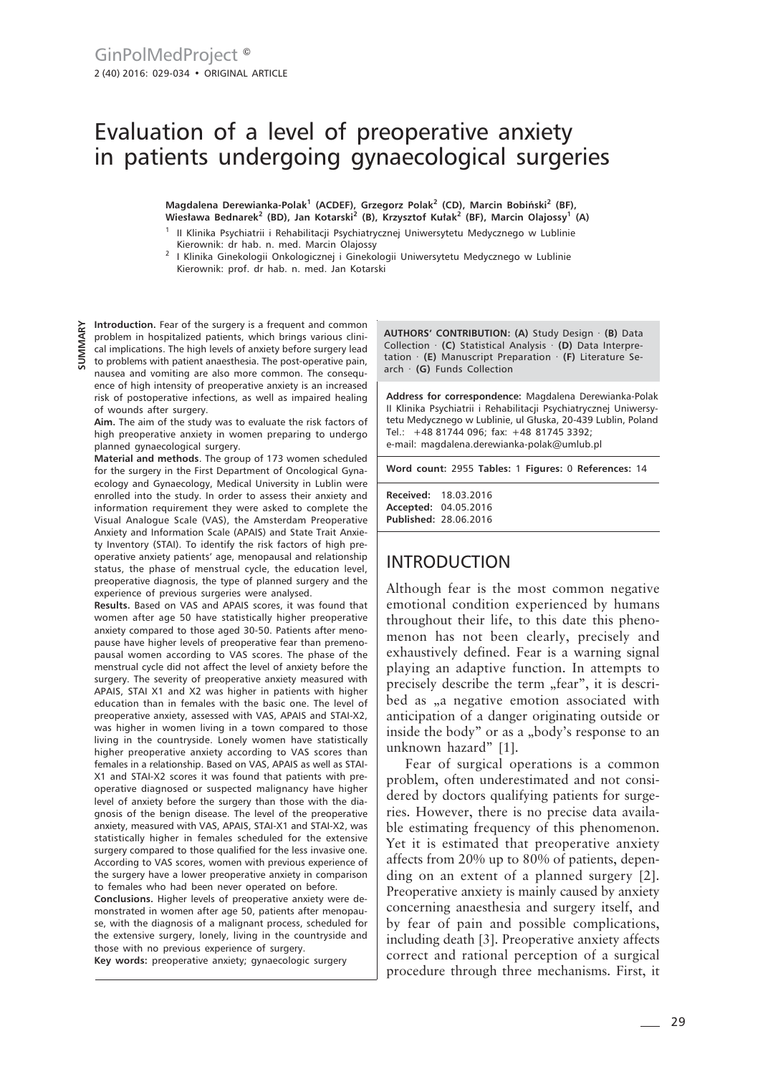# Evaluation of a level of preoperative anxiety in patients undergoing gynaecological surgeries

Magdalena Derewianka-Polak<sup>1</sup> (ACDEF), Grzegorz Polak<sup>2</sup> (CD), Marcin Bobiński<sup>2</sup> (BF),<br>Wiesława Bednarek<sup>2</sup> (BD), Jan Kotarski<sup>2</sup> (B), Krzysztof Kułak<sup>2</sup> (BF), Marcin Olajossy<sup>1</sup> (A)

- <sup>1</sup> II Klinika Psychiatrii i Rehabilitacji Psychiatrycznej Uniwersytetu Medycznego w Lublinie Kierownik: dr hab. n. med. Marcin Olajossy
- <sup>2</sup> I Klinika Ginekologii Onkologicznej i Ginekologii Uniwersytetu Medycznego w Lublinie Kierownik: prof. dr hab. n. med. Jan Kotarski

**Introduction.** Fear of the surgery is a frequent and common problem in hospitalized patients, which brings various clinical implications. The high levels of anxiety before surgery lead to problems with patient anaesthesia. The post-operative pain, **SUMMARY**

nausea and vomiting are also more common. The consequence of high intensity of preoperative anxiety is an increased risk of postoperative infections, as well as impaired healing of wounds after surgery.

**Aim.** The aim of the study was to evaluate the risk factors of high preoperative anxiety in women preparing to undergo planned gynaecological surgery.

**Material and methods**. The group of 173 women scheduled for the surgery in the First Department of Oncological Gynaecology and Gynaecology, Medical University in Lublin were enrolled into the study. In order to assess their anxiety and information requirement they were asked to complete the Visual Analogue Scale (VAS), the Amsterdam Preoperative Anxiety and Information Scale (APAIS) and State Trait Anxiety Inventory (STAI). To identify the risk factors of high preoperative anxiety patients' age, menopausal and relationship status, the phase of menstrual cycle, the education level, preoperative diagnosis, the type of planned surgery and the experience of previous surgeries were analysed.

**Results.** Based on VAS and APAIS scores, it was found that women after age 50 have statistically higher preoperative anxiety compared to those aged 30-50. Patients after menopause have higher levels of preoperative fear than premenopausal women according to VAS scores. The phase of the menstrual cycle did not affect the level of anxiety before the surgery. The severity of preoperative anxiety measured with APAIS, STAI X1 and X2 was higher in patients with higher education than in females with the basic one. The level of preoperative anxiety, assessed with VAS, APAIS and STAI-X2, was higher in women living in a town compared to those living in the countryside. Lonely women have statistically higher preoperative anxiety according to VAS scores than females in a relationship. Based on VAS, APAIS as well as STAI-X1 and STAI-X2 scores it was found that patients with preoperative diagnosed or suspected malignancy have higher level of anxiety before the surgery than those with the diagnosis of the benign disease. The level of the preoperative anxiety, measured with VAS, APAIS, STAI-X1 and STAI-X2, was statistically higher in females scheduled for the extensive surgery compared to those qualified for the less invasive one. According to VAS scores, women with previous experience of the surgery have a lower preoperative anxiety in comparison to females who had been never operated on before.

**Conclusions.** Higher levels of preoperative anxiety were demonstrated in women after age 50, patients after menopause, with the diagnosis of a malignant process, scheduled for the extensive surgery, lonely, living in the countryside and those with no previous experience of surgery.

**Key words:** preoperative anxiety; gynaecologic surgery

**AUTHORS' CONTRIBUTION: (A)** Study Design · **(B)** Data Collection · **(C)** Statistical Analysis · **(D)** Data Interpretation · **(E)** Manuscript Preparation · **(F)** Literature Search · **(G)** Funds Collection

**Address for correspondence:** Magdalena Derewianka-Polak II Klinika Psychiatrii i Rehabilitacji Psychiatrycznej Uniwersytetu Medycznego w Lublinie, ul Głuska, 20-439 Lublin, Poland Tel.: +48 81744 096; fax: +48 81745 3392; e-mail: magdalena.derewianka-polak@umlub.pl

**Word count:** 2955 **Tables:** 1 **Figures:** 0 **References:** 14

**Received:** 18.03.2016 **Accepted:** 04.05.2016 **Published:** 28.06.2016

#### INTRODUCTION

Although fear is the most common negative emotional condition experienced by humans throughout their life, to this date this phenomenon has not been clearly, precisely and exhaustively defined. Fear is a warning signal playing an adaptive function. In attempts to precisely describe the term "fear", it is described as <sub>n</sub>a negative emotion associated with anticipation of a danger originating outside or inside the body" or as a "body's response to an unknown hazard" [1].

Fear of surgical operations is a common problem, often underestimated and not considered by doctors qualifying patients for surgeries. However, there is no precise data available estimating frequency of this phenomenon. Yet it is estimated that preoperative anxiety affects from 20% up to 80% of patients, depending on an extent of a planned surgery [2]. Preoperative anxiety is mainly caused by anxiety concerning anaesthesia and surgery itself, and by fear of pain and possible complications, including death [3]. Preoperative anxiety affects correct and rational perception of a surgical procedure through three mechanisms. First, it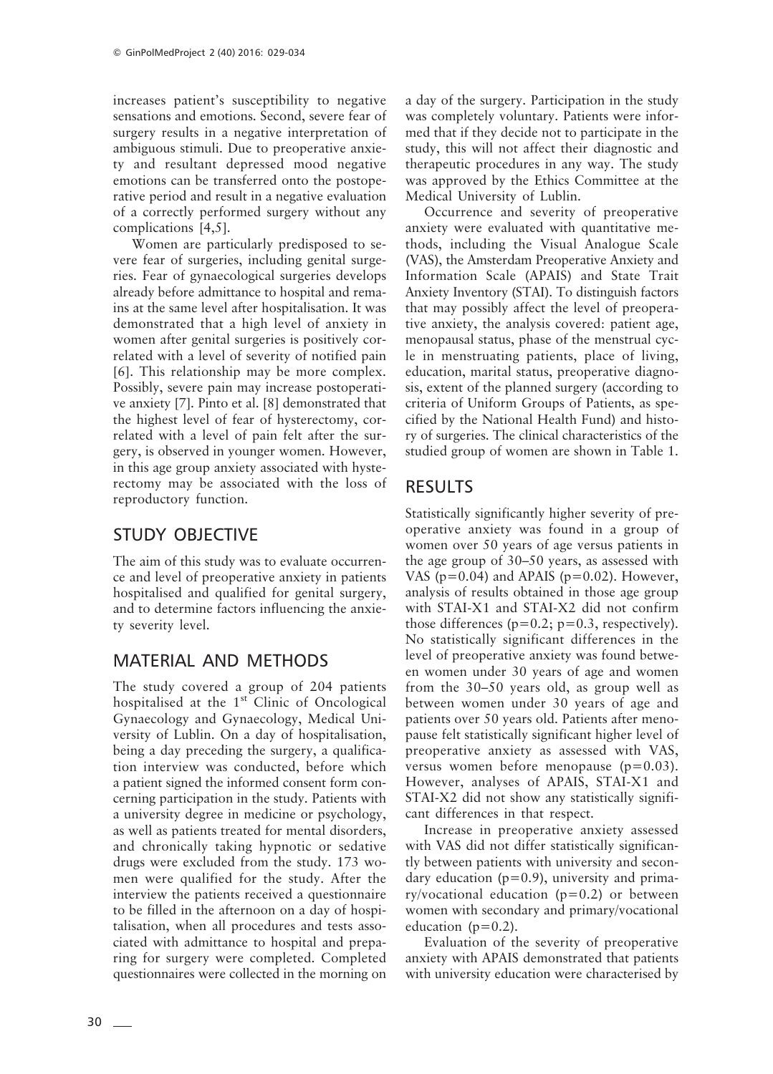increases patient's susceptibility to negative sensations and emotions. Second, severe fear of surgery results in a negative interpretation of ambiguous stimuli. Due to preoperative anxiety and resultant depressed mood negative emotions can be transferred onto the postoperative period and result in a negative evaluation of a correctly performed surgery without any complications [4,5].

Women are particularly predisposed to severe fear of surgeries, including genital surgeries. Fear of gynaecological surgeries develops already before admittance to hospital and remains at the same level after hospitalisation. It was demonstrated that a high level of anxiety in women after genital surgeries is positively correlated with a level of severity of notified pain [6]. This relationship may be more complex. Possibly, severe pain may increase postoperative anxiety [7]. Pinto et al. [8] demonstrated that the highest level of fear of hysterectomy, correlated with a level of pain felt after the surgery, is observed in younger women. However, in this age group anxiety associated with hysterectomy may be associated with the loss of reproductory function.

# STUDY OBJECTIVE

The aim of this study was to evaluate occurrence and level of preoperative anxiety in patients hospitalised and qualified for genital surgery, and to determine factors influencing the anxiety severity level.

# MATERIAL AND METHODS

The study covered a group of 204 patients hospitalised at the  $1<sup>st</sup>$  Clinic of Oncological Gynaecology and Gynaecology, Medical University of Lublin. On a day of hospitalisation, being a day preceding the surgery, a qualification interview was conducted, before which a patient signed the informed consent form concerning participation in the study. Patients with a university degree in medicine or psychology, as well as patients treated for mental disorders, and chronically taking hypnotic or sedative drugs were excluded from the study. 173 women were qualified for the study. After the interview the patients received a questionnaire to be filled in the afternoon on a day of hospitalisation, when all procedures and tests associated with admittance to hospital and preparing for surgery were completed. Completed questionnaires were collected in the morning on

a day of the surgery. Participation in the study was completely voluntary. Patients were informed that if they decide not to participate in the study, this will not affect their diagnostic and therapeutic procedures in any way. The study was approved by the Ethics Committee at the Medical University of Lublin.

Occurrence and severity of preoperative anxiety were evaluated with quantitative methods, including the Visual Analogue Scale (VAS), the Amsterdam Preoperative Anxiety and Information Scale (APAIS) and State Trait Anxiety Inventory (STAI). To distinguish factors that may possibly affect the level of preoperative anxiety, the analysis covered: patient age, menopausal status, phase of the menstrual cycle in menstruating patients, place of living, education, marital status, preoperative diagnosis, extent of the planned surgery (according to criteria of Uniform Groups of Patients, as specified by the National Health Fund) and history of surgeries. The clinical characteristics of the studied group of women are shown in Table 1.

# RESULTS

Statistically significantly higher severity of preoperative anxiety was found in a group of women over 50 years of age versus patients in the age group of 30–50 years, as assessed with VAS ( $p=0.04$ ) and APAIS ( $p=0.02$ ). However, analysis of results obtained in those age group with STAI-X1 and STAI-X2 did not confirm those differences ( $p=0.2$ ;  $p=0.3$ , respectively). No statistically significant differences in the level of preoperative anxiety was found between women under 30 years of age and women from the 30–50 years old, as group well as between women under 30 years of age and patients over 50 years old. Patients after menopause felt statistically significant higher level of preoperative anxiety as assessed with VAS, versus women before menopause (p=0.03). However, analyses of APAIS, STAI-X1 and STAI-X2 did not show any statistically significant differences in that respect.

Increase in preoperative anxiety assessed with VAS did not differ statistically significantly between patients with university and secondary education  $(p=0.9)$ , university and primary/vocational education  $(p=0.2)$  or between women with secondary and primary/vocational education ( $p=0.2$ ).

Evaluation of the severity of preoperative anxiety with APAIS demonstrated that patients with university education were characterised by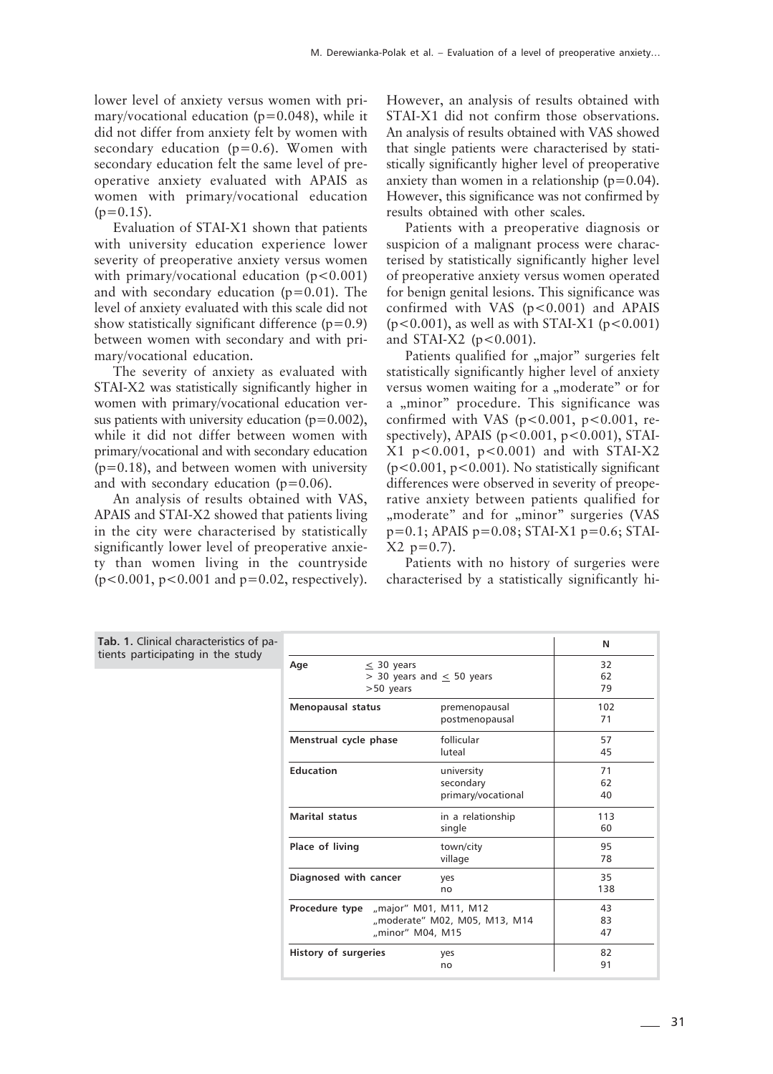lower level of anxiety versus women with primary/vocational education ( $p=0.048$ ), while it did not differ from anxiety felt by women with secondary education  $(p=0.6)$ . Women with secondary education felt the same level of preoperative anxiety evaluated with APAIS as women with primary/vocational education  $(p=0.15)$ .

Evaluation of STAI-X1 shown that patients with university education experience lower severity of preoperative anxiety versus women with primary/vocational education  $(p<0.001)$ and with secondary education ( $p=0.01$ ). The level of anxiety evaluated with this scale did not show statistically significant difference  $(p=0.9)$ between women with secondary and with primary/vocational education.

The severity of anxiety as evaluated with STAI-X2 was statistically significantly higher in women with primary/vocational education versus patients with university education  $(p=0.002)$ , while it did not differ between women with primary/vocational and with secondary education  $(p=0.18)$ , and between women with university and with secondary education  $(p=0.06)$ .

An analysis of results obtained with VAS, APAIS and STAI-X2 showed that patients living in the city were characterised by statistically significantly lower level of preoperative anxiety than women living in the countryside  $(p<0.001, p<0.001$  and  $p=0.02$ , respectively). However, an analysis of results obtained with STAI-X1 did not confirm those observations. An analysis of results obtained with VAS showed that single patients were characterised by statistically significantly higher level of preoperative anxiety than women in a relationship  $(p=0.04)$ . However, this significance was not confirmed by results obtained with other scales.

Patients with a preoperative diagnosis or suspicion of a malignant process were characterised by statistically significantly higher level of preoperative anxiety versus women operated for benign genital lesions. This significance was confirmed with VAS  $(p<0.001)$  and APAIS  $(p<0.001)$ , as well as with STAI-X1  $(p<0.001)$ and STAI-X2 ( $p < 0.001$ ).

Patients qualified for "major" surgeries felt statistically significantly higher level of anxiety versus women waiting for a "moderate" or for a "minor" procedure. This significance was confirmed with VAS ( $p < 0.001$ ,  $p < 0.001$ , respectively), APAIS ( $p < 0.001$ ,  $p < 0.001$ ), STAI-X1 p<0.001, p<0.001) and with STAI-X2 (p<0.001, p<0.001). No statistically significant differences were observed in severity of preoperative anxiety between patients qualified for "moderate" and for "minor" surgeries (VAS  $p=0.1$ ; APAIS  $p=0.08$ ; STAI-X1  $p=0.6$ ; STAI- $X2$  p=0.7).

Patients with no history of surgeries were characterised by a statistically significantly hi-

| <b>Tab. 1.</b> Clinical characteristics of pa- |                                      |                                  | N   |
|------------------------------------------------|--------------------------------------|----------------------------------|-----|
| tients participating in the study              | $\leq$ 30 years<br>Age               |                                  | 32  |
|                                                |                                      | $>$ 30 years and $\leq$ 50 years | 62  |
|                                                | $>50$ years                          |                                  | 79  |
|                                                | Menopausal status                    | premenopausal                    | 102 |
|                                                |                                      | postmenopausal                   | 71  |
|                                                | Menstrual cycle phase                | follicular                       | 57  |
|                                                |                                      | luteal                           | 45  |
|                                                | <b>Education</b>                     | university                       | 71  |
|                                                |                                      | secondary                        | 62  |
|                                                |                                      | primary/vocational               | 40  |
|                                                | <b>Marital status</b>                | in a relationship                | 113 |
|                                                |                                      | single                           | 60  |
|                                                | Place of living                      | town/city                        | 95  |
|                                                |                                      | village                          | 78  |
|                                                | Diagnosed with cancer                | yes                              | 35  |
|                                                |                                      | no                               | 138 |
|                                                | Procedure type "major" M01, M11, M12 |                                  | 43  |
|                                                |                                      | "moderate" M02, M05, M13, M14    | 83  |
|                                                |                                      | "minor" M04, M15                 | 47  |
|                                                | History of surgeries                 | yes                              | 82  |
|                                                |                                      | no                               | 91  |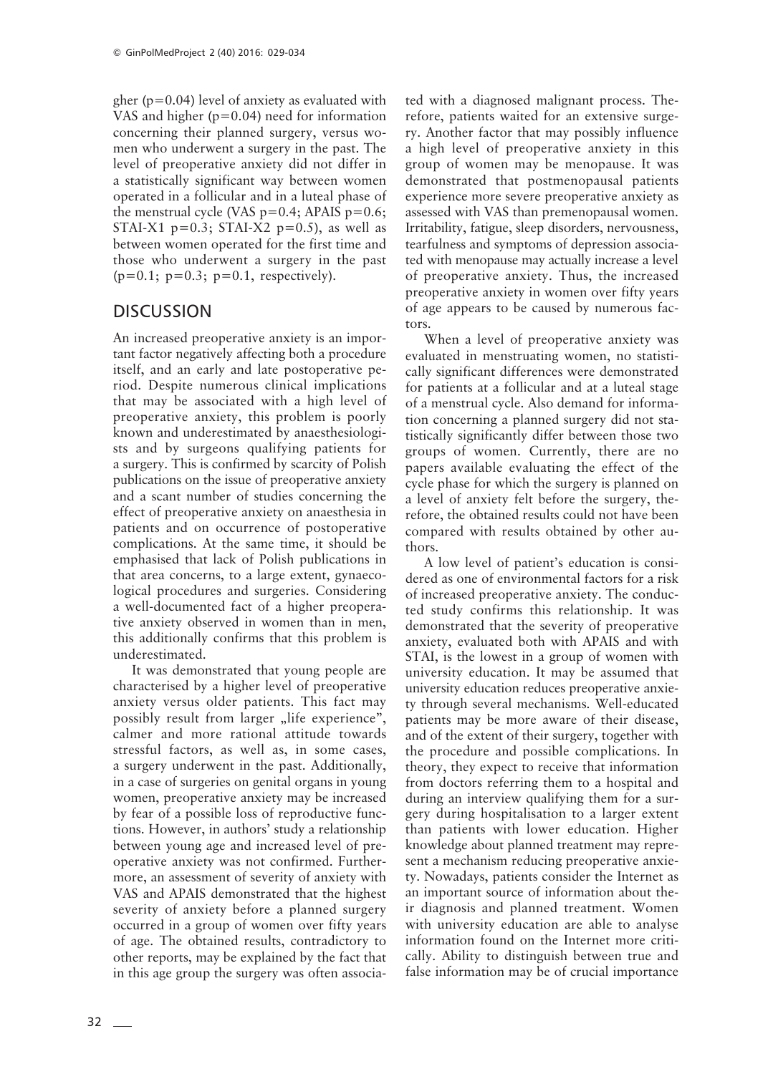gher ( $p=0.04$ ) level of anxiety as evaluated with VAS and higher  $(p=0.04)$  need for information concerning their planned surgery, versus women who underwent a surgery in the past. The level of preoperative anxiety did not differ in a statistically significant way between women operated in a follicular and in a luteal phase of the menstrual cycle (VAS  $p=0.4$ ; APAIS  $p=0.6$ ; STAI-X1  $p=0.3$ ; STAI-X2  $p=0.5$ ), as well as between women operated for the first time and those who underwent a surgery in the past  $(p=0.1; p=0.3; p=0.1; respectively).$ 

#### DISCUSSION

An increased preoperative anxiety is an important factor negatively affecting both a procedure itself, and an early and late postoperative period. Despite numerous clinical implications that may be associated with a high level of preoperative anxiety, this problem is poorly known and underestimated by anaesthesiologists and by surgeons qualifying patients for a surgery. This is confirmed by scarcity of Polish publications on the issue of preoperative anxiety and a scant number of studies concerning the effect of preoperative anxiety on anaesthesia in patients and on occurrence of postoperative complications. At the same time, it should be emphasised that lack of Polish publications in that area concerns, to a large extent, gynaecological procedures and surgeries. Considering a well-documented fact of a higher preoperative anxiety observed in women than in men, this additionally confirms that this problem is underestimated.

It was demonstrated that young people are characterised by a higher level of preoperative anxiety versus older patients. This fact may possibly result from larger "life experience", calmer and more rational attitude towards stressful factors, as well as, in some cases, a surgery underwent in the past. Additionally, in a case of surgeries on genital organs in young women, preoperative anxiety may be increased by fear of a possible loss of reproductive functions. However, in authors' study a relationship between young age and increased level of preoperative anxiety was not confirmed. Furthermore, an assessment of severity of anxiety with VAS and APAIS demonstrated that the highest severity of anxiety before a planned surgery occurred in a group of women over fifty years of age. The obtained results, contradictory to other reports, may be explained by the fact that in this age group the surgery was often associated with a diagnosed malignant process. Therefore, patients waited for an extensive surgery. Another factor that may possibly influence a high level of preoperative anxiety in this group of women may be menopause. It was demonstrated that postmenopausal patients experience more severe preoperative anxiety as assessed with VAS than premenopausal women. Irritability, fatigue, sleep disorders, nervousness, tearfulness and symptoms of depression associated with menopause may actually increase a level of preoperative anxiety. Thus, the increased preoperative anxiety in women over fifty years of age appears to be caused by numerous factors.

When a level of preoperative anxiety was evaluated in menstruating women, no statistically significant differences were demonstrated for patients at a follicular and at a luteal stage of a menstrual cycle. Also demand for information concerning a planned surgery did not statistically significantly differ between those two groups of women. Currently, there are no papers available evaluating the effect of the cycle phase for which the surgery is planned on a level of anxiety felt before the surgery, therefore, the obtained results could not have been compared with results obtained by other authors.

A low level of patient's education is considered as one of environmental factors for a risk of increased preoperative anxiety. The conducted study confirms this relationship. It was demonstrated that the severity of preoperative anxiety, evaluated both with APAIS and with STAI, is the lowest in a group of women with university education. It may be assumed that university education reduces preoperative anxiety through several mechanisms. Well-educated patients may be more aware of their disease, and of the extent of their surgery, together with the procedure and possible complications. In theory, they expect to receive that information from doctors referring them to a hospital and during an interview qualifying them for a surgery during hospitalisation to a larger extent than patients with lower education. Higher knowledge about planned treatment may represent a mechanism reducing preoperative anxiety. Nowadays, patients consider the Internet as an important source of information about their diagnosis and planned treatment. Women with university education are able to analyse information found on the Internet more critically. Ability to distinguish between true and false information may be of crucial importance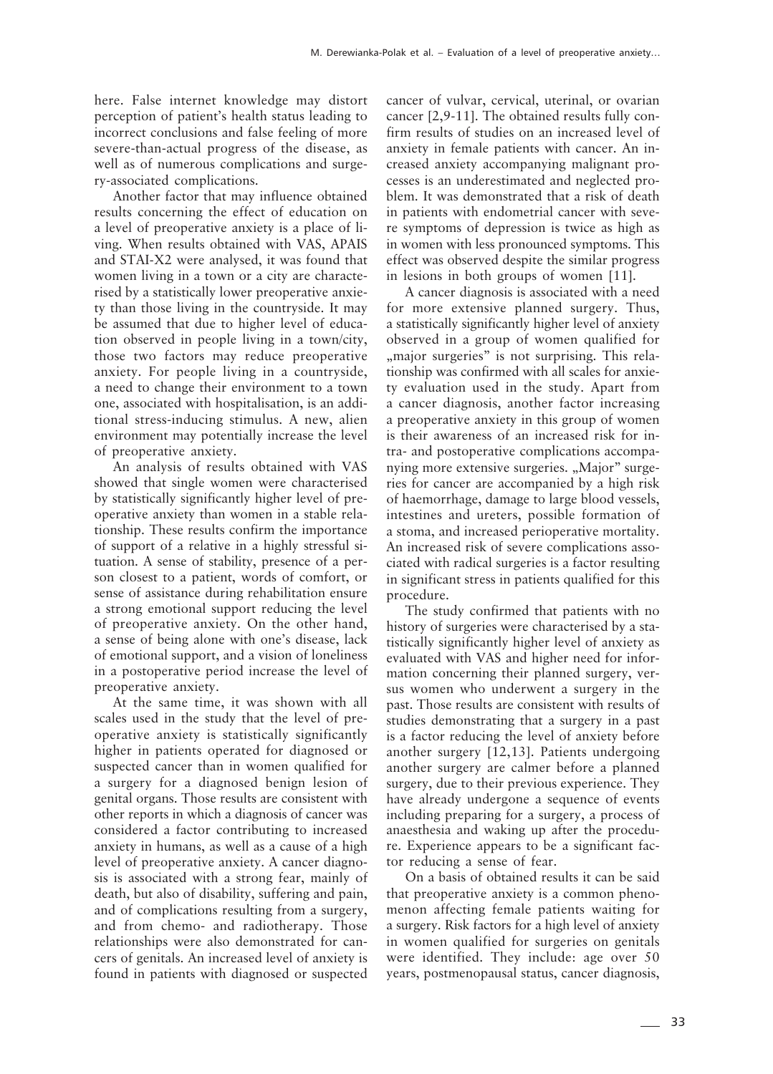here. False internet knowledge may distort perception of patient's health status leading to incorrect conclusions and false feeling of more severe-than-actual progress of the disease, as well as of numerous complications and surgery-associated complications.

Another factor that may influence obtained results concerning the effect of education on a level of preoperative anxiety is a place of living. When results obtained with VAS, APAIS and STAI-X2 were analysed, it was found that women living in a town or a city are characterised by a statistically lower preoperative anxiety than those living in the countryside. It may be assumed that due to higher level of education observed in people living in a town/city, those two factors may reduce preoperative anxiety. For people living in a countryside, a need to change their environment to a town one, associated with hospitalisation, is an additional stress-inducing stimulus. A new, alien environment may potentially increase the level of preoperative anxiety.

An analysis of results obtained with VAS showed that single women were characterised by statistically significantly higher level of preoperative anxiety than women in a stable relationship. These results confirm the importance of support of a relative in a highly stressful situation. A sense of stability, presence of a person closest to a patient, words of comfort, or sense of assistance during rehabilitation ensure a strong emotional support reducing the level of preoperative anxiety. On the other hand, a sense of being alone with one's disease, lack of emotional support, and a vision of loneliness in a postoperative period increase the level of preoperative anxiety.

At the same time, it was shown with all scales used in the study that the level of preoperative anxiety is statistically significantly higher in patients operated for diagnosed or suspected cancer than in women qualified for a surgery for a diagnosed benign lesion of genital organs. Those results are consistent with other reports in which a diagnosis of cancer was considered a factor contributing to increased anxiety in humans, as well as a cause of a high level of preoperative anxiety. A cancer diagnosis is associated with a strong fear, mainly of death, but also of disability, suffering and pain, and of complications resulting from a surgery, and from chemo- and radiotherapy. Those relationships were also demonstrated for cancers of genitals. An increased level of anxiety is found in patients with diagnosed or suspected cancer of vulvar, cervical, uterinal, or ovarian cancer [2,9-11]. The obtained results fully confirm results of studies on an increased level of anxiety in female patients with cancer. An increased anxiety accompanying malignant processes is an underestimated and neglected problem. It was demonstrated that a risk of death in patients with endometrial cancer with severe symptoms of depression is twice as high as in women with less pronounced symptoms. This effect was observed despite the similar progress in lesions in both groups of women [11].

A cancer diagnosis is associated with a need for more extensive planned surgery. Thus, a statistically significantly higher level of anxiety observed in a group of women qualified for , major surgeries" is not surprising. This relationship was confirmed with all scales for anxiety evaluation used in the study. Apart from a cancer diagnosis, another factor increasing a preoperative anxiety in this group of women is their awareness of an increased risk for intra- and postoperative complications accompanying more extensive surgeries. "Major" surgeries for cancer are accompanied by a high risk of haemorrhage, damage to large blood vessels, intestines and ureters, possible formation of a stoma, and increased perioperative mortality. An increased risk of severe complications associated with radical surgeries is a factor resulting in significant stress in patients qualified for this procedure.

The study confirmed that patients with no history of surgeries were characterised by a statistically significantly higher level of anxiety as evaluated with VAS and higher need for information concerning their planned surgery, versus women who underwent a surgery in the past. Those results are consistent with results of studies demonstrating that a surgery in a past is a factor reducing the level of anxiety before another surgery [12,13]. Patients undergoing another surgery are calmer before a planned surgery, due to their previous experience. They have already undergone a sequence of events including preparing for a surgery, a process of anaesthesia and waking up after the procedure. Experience appears to be a significant factor reducing a sense of fear.

On a basis of obtained results it can be said that preoperative anxiety is a common phenomenon affecting female patients waiting for a surgery. Risk factors for a high level of anxiety in women qualified for surgeries on genitals were identified. They include: age over 50 years, postmenopausal status, cancer diagnosis,